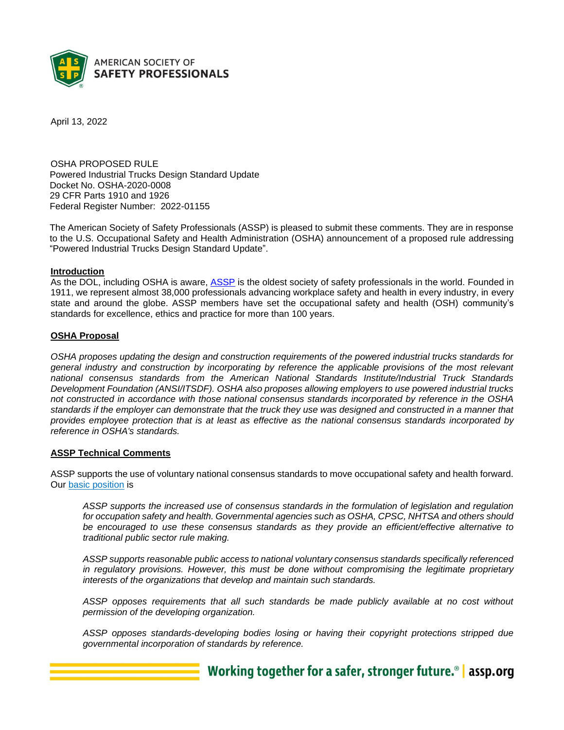

April 13, 2022

OSHA PROPOSED RULE Powered Industrial Trucks Design Standard Update Docket No. OSHA-2020-0008 29 CFR Parts 1910 and 1926 Federal Register Number: 2022-01155

The American Society of Safety Professionals (ASSP) is pleased to submit these comments. They are in response to the U.S. Occupational Safety and Health Administration (OSHA) announcement of a proposed rule addressing "Powered Industrial Trucks Design Standard Update".

#### **Introduction**

As the DOL, including OSHA is aware, ASSP is the oldest society of safety professionals in the world. Founded in 1911, we represent almost 38,000 professionals advancing workplace safety and health in every industry, in every state and around the globe. ASSP members have set the occupational safety and health (OSH) community's standards for excellence, ethics and practice for more than 100 years.

#### **OSHA Proposal**

*OSHA proposes updating the design and construction requirements of the powered industrial trucks standards for general industry and construction by incorporating by reference the applicable provisions of the most relevant national consensus standards from the American National Standards Institute/Industrial Truck Standards Development Foundation (ANSI/ITSDF). OSHA also proposes allowing employers to use powered industrial trucks not constructed in accordance with those national consensus standards incorporated by reference in the OSHA standards if the employer can demonstrate that the truck they use was designed and constructed in a manner that provides employee protection that is at least as effective as the national consensus standards incorporated by reference in OSHA's standards.*

#### **ASSP Technical Comments**

ASSP supports the use of voluntary national consensus standards to move occupational safety and health forward. Our [basic position](https://www.assp.org/position-statements) is

*ASSP supports the increased use of consensus standards in the formulation of legislation and regulation for occupation safety and health. Governmental agencies such as OSHA, CPSC, NHTSA and others should be encouraged to use these consensus standards as they provide an efficient/effective alternative to traditional public sector rule making.* 

*ASSP supports reasonable public access to national voluntary consensus standards specifically referenced in regulatory provisions. However, this must be done without compromising the legitimate proprietary interests of the organizations that develop and maintain such standards.* 

*ASSP opposes requirements that all such standards be made publicly available at no cost without permission of the developing organization.*

*ASSP opposes standards-developing bodies losing or having their copyright protections stripped due governmental incorporation of standards by reference.*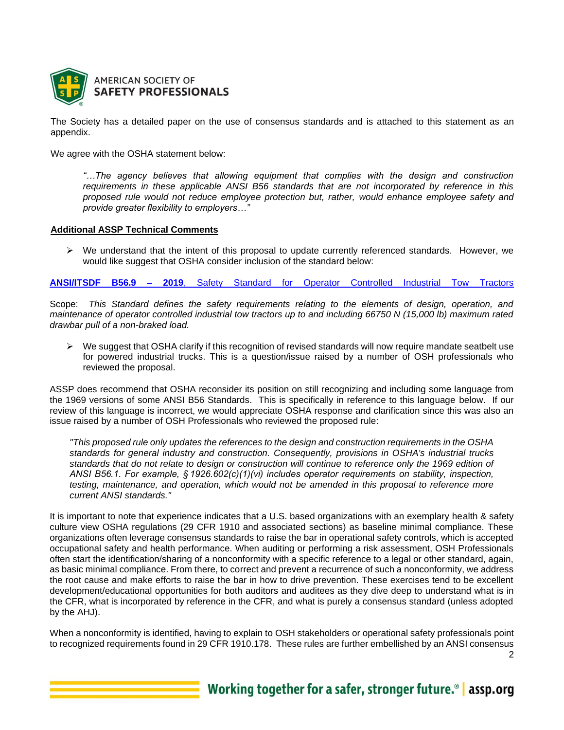

The Society has a detailed paper on the use of consensus standards and is attached to this statement as an appendix.

We agree with the OSHA statement below:

*"…The agency believes that allowing equipment that complies with the design and construction requirements in these applicable ANSI B56 standards that are not incorporated by reference in this proposed rule would not reduce employee protection but, rather, would enhance employee safety and provide greater flexibility to employers…"* 

#### **Additional ASSP Technical Comments**

 $\triangleright$  We understand that the intent of this proposal to update currently referenced standards. However, we would like suggest that OSHA consider inclusion of the standard below:

**ANSI/ITSDF B56.9 – 2019**[, Safety Standard for Operator Controlled Industrial Tow Tractors](http://www.itsdf.org/forms/regusers/standards/1591_ITSDF-B56-9-2019-rev-05-15-19.pdf) 

Scope: *This Standard defines the safety requirements relating to the elements of design, operation, and maintenance of operator controlled industrial tow tractors up to and including 66750 N (15,000 lb) maximum rated drawbar pull of a non-braked load.*

 $\triangleright$  We suggest that OSHA clarify if this recognition of revised standards will now require mandate seatbelt use for powered industrial trucks. This is a question/issue raised by a number of OSH professionals who reviewed the proposal.

ASSP does recommend that OSHA reconsider its position on still recognizing and including some language from the 1969 versions of some ANSI B56 Standards. This is specifically in reference to this language below. If our review of this language is incorrect, we would appreciate OSHA response and clarification since this was also an issue raised by a number of OSH Professionals who reviewed the proposed rule:

*"This proposed rule only updates the references to the design and construction requirements in the OSHA standards for general industry and construction. Consequently, provisions in OSHA's industrial trucks standards that do not relate to design or construction will continue to reference only the 1969 edition of ANSI B56.1. For example, § 1926.602(c)(1)(vi) includes operator requirements on stability, inspection, testing, maintenance, and operation, which would not be amended in this proposal to reference more current ANSI standards."* 

It is important to note that experience indicates that a U.S. based organizations with an exemplary health & safety culture view OSHA regulations (29 CFR 1910 and associated sections) as baseline minimal compliance. These organizations often leverage consensus standards to raise the bar in operational safety controls, which is accepted occupational safety and health performance. When auditing or performing a risk assessment, OSH Professionals often start the identification/sharing of a nonconformity with a specific reference to a legal or other standard, again, as basic minimal compliance. From there, to correct and prevent a recurrence of such a nonconformity, we address the root cause and make efforts to raise the bar in how to drive prevention. These exercises tend to be excellent development/educational opportunities for both auditors and auditees as they dive deep to understand what is in the CFR, what is incorporated by reference in the CFR, and what is purely a consensus standard (unless adopted by the AHJ).

When a nonconformity is identified, having to explain to OSH stakeholders or operational safety professionals point to recognized requirements found in 29 CFR 1910.178. These rules are further embellished by an ANSI consensus

<sup>2</sup>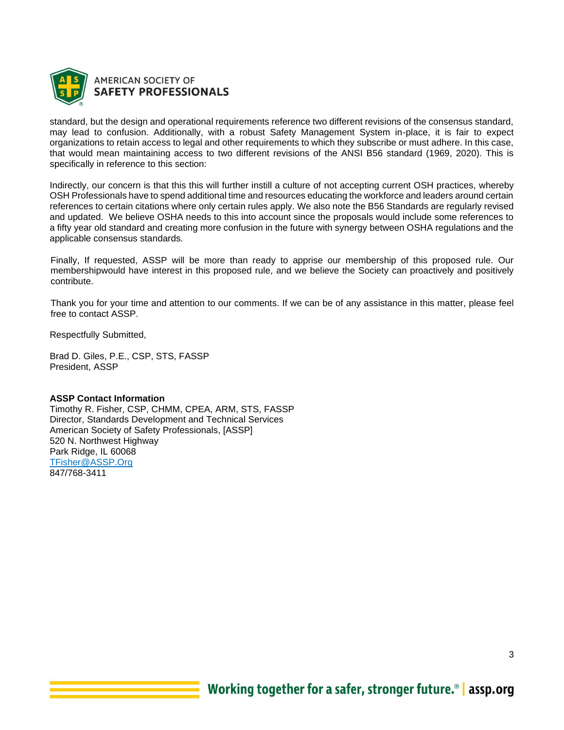

standard, but the design and operational requirements reference two different revisions of the consensus standard, may lead to confusion. Additionally, with a robust Safety Management System in-place, it is fair to expect organizations to retain access to legal and other requirements to which they subscribe or must adhere. In this case, that would mean maintaining access to two different revisions of the ANSI B56 standard (1969, 2020). This is specifically in reference to this section:

Indirectly, our concern is that this this will further instill a culture of not accepting current OSH practices, whereby OSH Professionals have to spend additional time and resources educating the workforce and leaders around certain references to certain citations where only certain rules apply. We also note the B56 Standards are regularly revised and updated. We believe OSHA needs to this into account since the proposals would include some references to a fifty year old standard and creating more confusion in the future with synergy between OSHA regulations and the applicable consensus standards.

Finally, If requested, ASSP will be more than ready to apprise our membership of this proposed rule. Our membershipwould have interest in this proposed rule, and we believe the Society can proactively and positively contribute.

Thank you for your time and attention to our comments. If we can be of any assistance in this matter, please feel free to contact ASSP.

Respectfully Submitted,

Brad D. Giles, P.E., CSP, STS, FASSP President, ASSP

#### **ASSP Contact Information**

Timothy R. Fisher, CSP, CHMM, CPEA, ARM, STS, FASSP Director, Standards Development and Technical Services American Society of Safety Professionals, [ASSP] 520 N. Northwest Highway Park Ridge, IL 60068 [TFisher@ASSP.Org](mailto:TFisher@ASSP.Org) 847/768-3411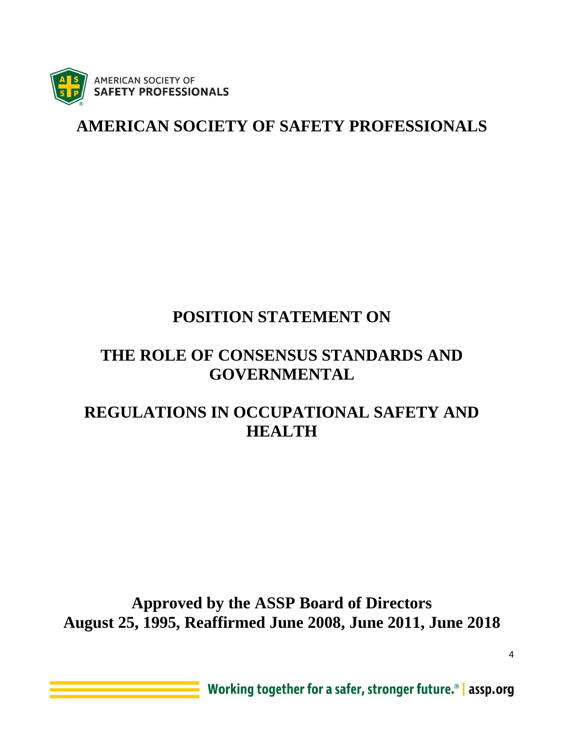

**AMERICAN SOCIETY OF SAFETY PROFESSIONALS**

# **POSITION STATEMENT ON**

# **THE ROLE OF CONSENSUS STANDARDS AND GOVERNMENTAL**

# **REGULATIONS IN OCCUPATIONAL SAFETY AND HEALTH**

# **Approved by the ASSP Board of Directors August 25, 1995, Reaffirmed June 2008, June 2011, June 2018**

4

Working together for a safer, stronger future.<sup>®</sup> assp.org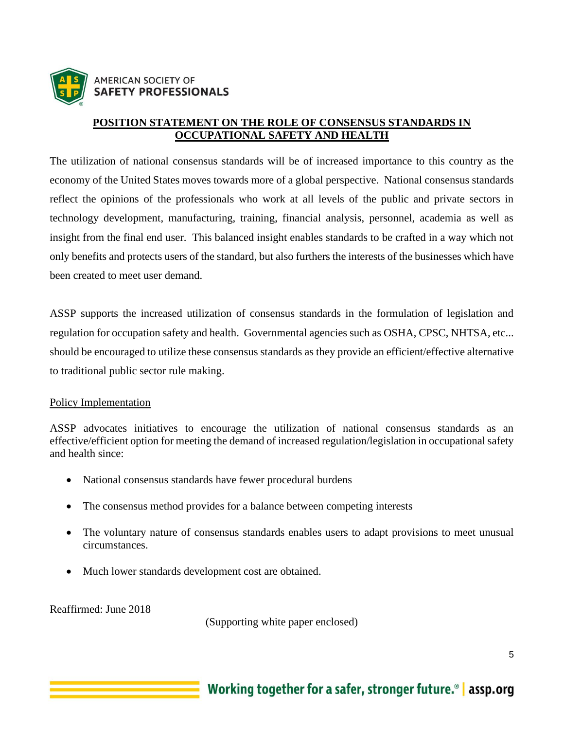

## **POSITION STATEMENT ON THE ROLE OF CONSENSUS STANDARDS IN OCCUPATIONAL SAFETY AND HEALTH**

The utilization of national consensus standards will be of increased importance to this country as the economy of the United States moves towards more of a global perspective. National consensus standards reflect the opinions of the professionals who work at all levels of the public and private sectors in technology development, manufacturing, training, financial analysis, personnel, academia as well as insight from the final end user. This balanced insight enables standards to be crafted in a way which not only benefits and protects users of the standard, but also furthers the interests of the businesses which have been created to meet user demand.

ASSP supports the increased utilization of consensus standards in the formulation of legislation and regulation for occupation safety and health. Governmental agencies such as OSHA, CPSC, NHTSA, etc... should be encouraged to utilize these consensus standards as they provide an efficient/effective alternative to traditional public sector rule making.

# Policy Implementation

ASSP advocates initiatives to encourage the utilization of national consensus standards as an effective/efficient option for meeting the demand of increased regulation/legislation in occupational safety and health since:

- National consensus standards have fewer procedural burdens
- The consensus method provides for a balance between competing interests
- The voluntary nature of consensus standards enables users to adapt provisions to meet unusual circumstances.
- Much lower standards development cost are obtained.

Reaffirmed: June 2018

(Supporting white paper enclosed)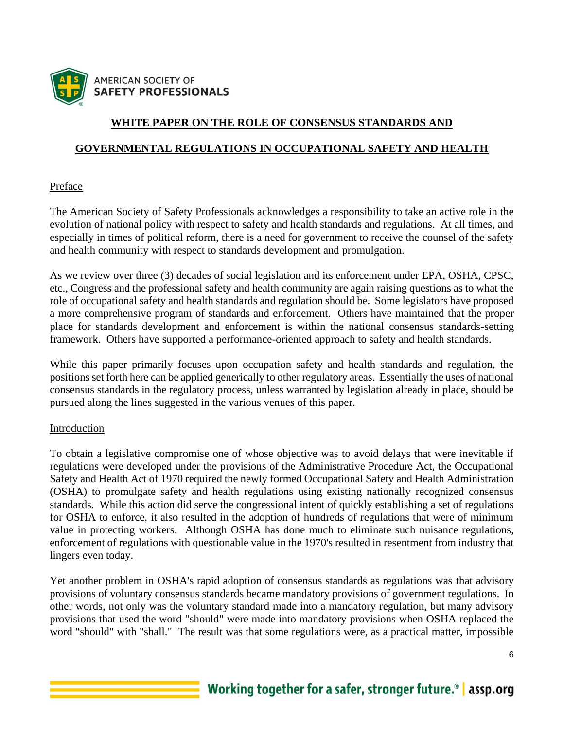

# **WHITE PAPER ON THE ROLE OF CONSENSUS STANDARDS AND**

# **GOVERNMENTAL REGULATIONS IN OCCUPATIONAL SAFETY AND HEALTH**

### Preface

The American Society of Safety Professionals acknowledges a responsibility to take an active role in the evolution of national policy with respect to safety and health standards and regulations. At all times, and especially in times of political reform, there is a need for government to receive the counsel of the safety and health community with respect to standards development and promulgation.

As we review over three (3) decades of social legislation and its enforcement under EPA, OSHA, CPSC, etc., Congress and the professional safety and health community are again raising questions as to what the role of occupational safety and health standards and regulation should be. Some legislators have proposed a more comprehensive program of standards and enforcement. Others have maintained that the proper place for standards development and enforcement is within the national consensus standards-setting framework. Others have supported a performance-oriented approach to safety and health standards.

While this paper primarily focuses upon occupation safety and health standards and regulation, the positions set forth here can be applied generically to other regulatory areas. Essentially the uses of national consensus standards in the regulatory process, unless warranted by legislation already in place, should be pursued along the lines suggested in the various venues of this paper.

### Introduction

To obtain a legislative compromise one of whose objective was to avoid delays that were inevitable if regulations were developed under the provisions of the Administrative Procedure Act, the Occupational Safety and Health Act of 1970 required the newly formed Occupational Safety and Health Administration (OSHA) to promulgate safety and health regulations using existing nationally recognized consensus standards. While this action did serve the congressional intent of quickly establishing a set of regulations for OSHA to enforce, it also resulted in the adoption of hundreds of regulations that were of minimum value in protecting workers. Although OSHA has done much to eliminate such nuisance regulations, enforcement of regulations with questionable value in the 1970's resulted in resentment from industry that lingers even today.

Yet another problem in OSHA's rapid adoption of consensus standards as regulations was that advisory provisions of voluntary consensus standards became mandatory provisions of government regulations. In other words, not only was the voluntary standard made into a mandatory regulation, but many advisory provisions that used the word "should" were made into mandatory provisions when OSHA replaced the word "should" with "shall." The result was that some regulations were, as a practical matter, impossible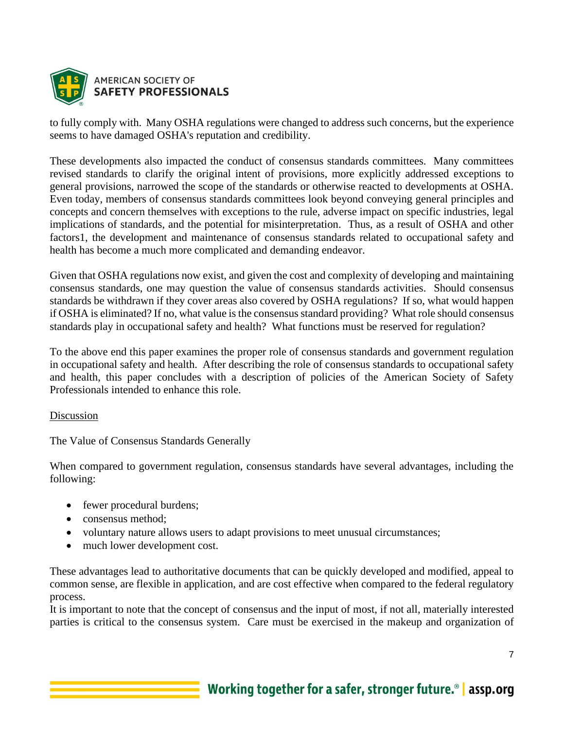

to fully comply with. Many OSHA regulations were changed to address such concerns, but the experience seems to have damaged OSHA's reputation and credibility.

These developments also impacted the conduct of consensus standards committees. Many committees revised standards to clarify the original intent of provisions, more explicitly addressed exceptions to general provisions, narrowed the scope of the standards or otherwise reacted to developments at OSHA. Even today, members of consensus standards committees look beyond conveying general principles and concepts and concern themselves with exceptions to the rule, adverse impact on specific industries, legal implications of standards, and the potential for misinterpretation. Thus, as a result of OSHA and other factors1, the development and maintenance of consensus standards related to occupational safety and health has become a much more complicated and demanding endeavor.

Given that OSHA regulations now exist, and given the cost and complexity of developing and maintaining consensus standards, one may question the value of consensus standards activities. Should consensus standards be withdrawn if they cover areas also covered by OSHA regulations? If so, what would happen if OSHA is eliminated? If no, what value is the consensus standard providing? What role should consensus standards play in occupational safety and health? What functions must be reserved for regulation?

To the above end this paper examines the proper role of consensus standards and government regulation in occupational safety and health. After describing the role of consensus standards to occupational safety and health, this paper concludes with a description of policies of the American Society of Safety Professionals intended to enhance this role.

# Discussion

The Value of Consensus Standards Generally

When compared to government regulation, consensus standards have several advantages, including the following:

- fewer procedural burdens;
- consensus method;
- voluntary nature allows users to adapt provisions to meet unusual circumstances;
- much lower development cost.

These advantages lead to authoritative documents that can be quickly developed and modified, appeal to common sense, are flexible in application, and are cost effective when compared to the federal regulatory process.

It is important to note that the concept of consensus and the input of most, if not all, materially interested parties is critical to the consensus system. Care must be exercised in the makeup and organization of

7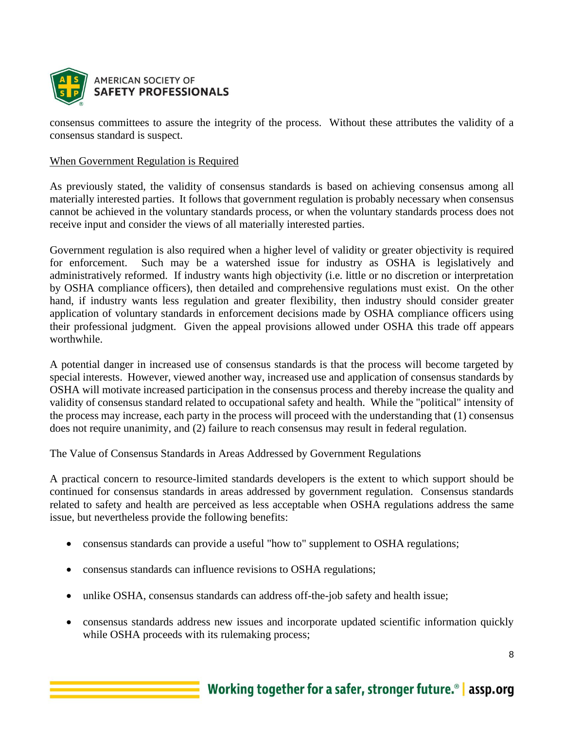

consensus committees to assure the integrity of the process. Without these attributes the validity of a consensus standard is suspect.

## When Government Regulation is Required

As previously stated, the validity of consensus standards is based on achieving consensus among all materially interested parties. It follows that government regulation is probably necessary when consensus cannot be achieved in the voluntary standards process, or when the voluntary standards process does not receive input and consider the views of all materially interested parties.

Government regulation is also required when a higher level of validity or greater objectivity is required for enforcement. Such may be a watershed issue for industry as OSHA is legislatively and administratively reformed. If industry wants high objectivity (i.e. little or no discretion or interpretation by OSHA compliance officers), then detailed and comprehensive regulations must exist. On the other hand, if industry wants less regulation and greater flexibility, then industry should consider greater application of voluntary standards in enforcement decisions made by OSHA compliance officers using their professional judgment. Given the appeal provisions allowed under OSHA this trade off appears worthwhile.

A potential danger in increased use of consensus standards is that the process will become targeted by special interests. However, viewed another way, increased use and application of consensus standards by OSHA will motivate increased participation in the consensus process and thereby increase the quality and validity of consensus standard related to occupational safety and health. While the "political" intensity of the process may increase, each party in the process will proceed with the understanding that (1) consensus does not require unanimity, and (2) failure to reach consensus may result in federal regulation.

The Value of Consensus Standards in Areas Addressed by Government Regulations

A practical concern to resource-limited standards developers is the extent to which support should be continued for consensus standards in areas addressed by government regulation. Consensus standards related to safety and health are perceived as less acceptable when OSHA regulations address the same issue, but nevertheless provide the following benefits:

- consensus standards can provide a useful "how to" supplement to OSHA regulations;
- consensus standards can influence revisions to OSHA regulations;
- unlike OSHA, consensus standards can address off-the-job safety and health issue;
- consensus standards address new issues and incorporate updated scientific information quickly while OSHA proceeds with its rulemaking process;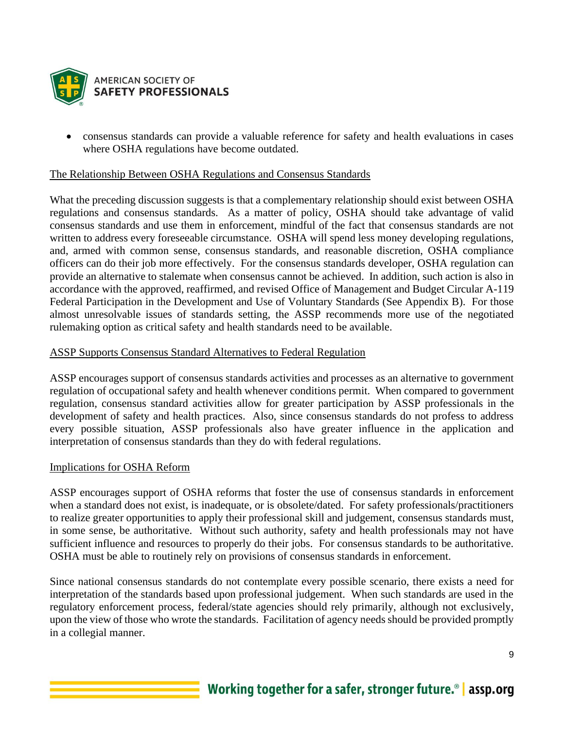

• consensus standards can provide a valuable reference for safety and health evaluations in cases where OSHA regulations have become outdated.

## The Relationship Between OSHA Regulations and Consensus Standards

What the preceding discussion suggests is that a complementary relationship should exist between OSHA regulations and consensus standards. As a matter of policy, OSHA should take advantage of valid consensus standards and use them in enforcement, mindful of the fact that consensus standards are not written to address every foreseeable circumstance. OSHA will spend less money developing regulations, and, armed with common sense, consensus standards, and reasonable discretion, OSHA compliance officers can do their job more effectively. For the consensus standards developer, OSHA regulation can provide an alternative to stalemate when consensus cannot be achieved. In addition, such action is also in accordance with the approved, reaffirmed, and revised Office of Management and Budget Circular A-119 Federal Participation in the Development and Use of Voluntary Standards (See Appendix B). For those almost unresolvable issues of standards setting, the ASSP recommends more use of the negotiated rulemaking option as critical safety and health standards need to be available.

### ASSP Supports Consensus Standard Alternatives to Federal Regulation

ASSP encourages support of consensus standards activities and processes as an alternative to government regulation of occupational safety and health whenever conditions permit. When compared to government regulation, consensus standard activities allow for greater participation by ASSP professionals in the development of safety and health practices. Also, since consensus standards do not profess to address every possible situation, ASSP professionals also have greater influence in the application and interpretation of consensus standards than they do with federal regulations.

### Implications for OSHA Reform

ASSP encourages support of OSHA reforms that foster the use of consensus standards in enforcement when a standard does not exist, is inadequate, or is obsolete/dated. For safety professionals/practitioners to realize greater opportunities to apply their professional skill and judgement, consensus standards must, in some sense, be authoritative. Without such authority, safety and health professionals may not have sufficient influence and resources to properly do their jobs. For consensus standards to be authoritative. OSHA must be able to routinely rely on provisions of consensus standards in enforcement.

Since national consensus standards do not contemplate every possible scenario, there exists a need for interpretation of the standards based upon professional judgement. When such standards are used in the regulatory enforcement process, federal/state agencies should rely primarily, although not exclusively, upon the view of those who wrote the standards. Facilitation of agency needs should be provided promptly in a collegial manner.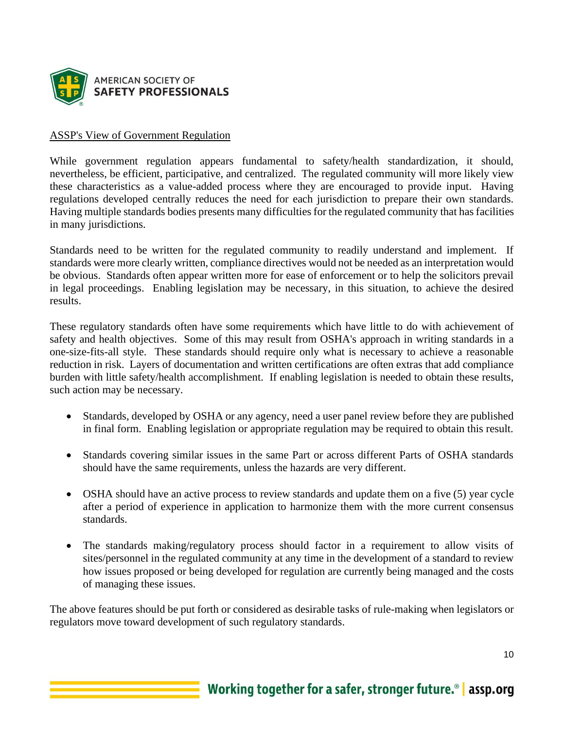

## ASSP's View of Government Regulation

While government regulation appears fundamental to safety/health standardization, it should, nevertheless, be efficient, participative, and centralized. The regulated community will more likely view these characteristics as a value-added process where they are encouraged to provide input. Having regulations developed centrally reduces the need for each jurisdiction to prepare their own standards. Having multiple standards bodies presents many difficulties for the regulated community that has facilities in many jurisdictions.

Standards need to be written for the regulated community to readily understand and implement. If standards were more clearly written, compliance directives would not be needed as an interpretation would be obvious. Standards often appear written more for ease of enforcement or to help the solicitors prevail in legal proceedings. Enabling legislation may be necessary, in this situation, to achieve the desired results.

These regulatory standards often have some requirements which have little to do with achievement of safety and health objectives. Some of this may result from OSHA's approach in writing standards in a one-size-fits-all style. These standards should require only what is necessary to achieve a reasonable reduction in risk. Layers of documentation and written certifications are often extras that add compliance burden with little safety/health accomplishment. If enabling legislation is needed to obtain these results, such action may be necessary.

- Standards, developed by OSHA or any agency, need a user panel review before they are published in final form. Enabling legislation or appropriate regulation may be required to obtain this result.
- Standards covering similar issues in the same Part or across different Parts of OSHA standards should have the same requirements, unless the hazards are very different.
- OSHA should have an active process to review standards and update them on a five (5) year cycle after a period of experience in application to harmonize them with the more current consensus standards.
- The standards making/regulatory process should factor in a requirement to allow visits of sites/personnel in the regulated community at any time in the development of a standard to review how issues proposed or being developed for regulation are currently being managed and the costs of managing these issues.

The above features should be put forth or considered as desirable tasks of rule-making when legislators or regulators move toward development of such regulatory standards.